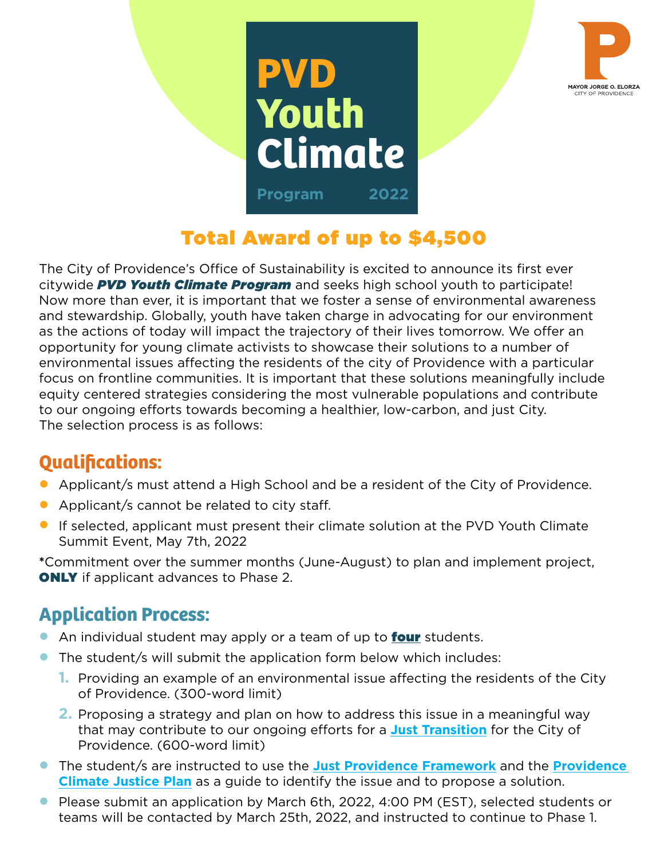



# Total Award of up to \$4,500

The City of Providence's Office of Sustainability is excited to announce its first ever citywide *PVD Youth Climate Program* and seeks high school youth to participate! Now more than ever, it is important that we foster a sense of environmental awareness and stewardship. Globally, youth have taken charge in advocating for our environment as the actions of today will impact the trajectory of their lives tomorrow. We offer an opportunity for young climate activists to showcase their solutions to a number of environmental issues affecting the residents of the city of Providence with a particular focus on frontline communities. It is important that these solutions meaningfully include equity centered strategies considering the most vulnerable populations and contribute to our ongoing efforts towards becoming a healthier, low-carbon, and just City. The selection process is as follows:

### **Qualifications:**

- Applicant/s must attend a High School and be a resident of the City of Providence.
- Applicant/s cannot be related to city staff.
- If selected, applicant must present their climate solution at the PVD Youth Climate Summit Event, May 7th, 2022

**\***Commitment over the summer months (June-August) to plan and implement project, **ONLY** if applicant advances to Phase 2.

## **Application Process:**

- An individual student may apply or a team of up to **four** students.
- The student/s will submit the application form below which includes:
	- **1.** Providing an example of an environmental issue affecting the residents of the City of Providence. (300-word limit)
	- **2.** Proposing a strategy and plan on how to address this issue in a meaningful way that may contribute to our ongoing efforts for a **[Just Transition](https://climatejusticealliance.org/just-transition/)** for the City of Providence. (600-word limit)
- The student/s are instructed to use the **[Just Providence Framework](https://providenceri.iqm2.com/Citizens/FileOpen.aspx?Type=4&ID=23684)** and the **[Providence](https://www.providenceri.gov/wp-content/uploads/2019/10/Climate-Justice-Plan-Report-FINAL-English-1.pdf)  [Climate Justice Plan](https://www.providenceri.gov/wp-content/uploads/2019/10/Climate-Justice-Plan-Report-FINAL-English-1.pdf)** as a guide to identify the issue and to propose a solution.
- Please submit an application by March 6th, 2022, 4:00 PM (EST), selected students or teams will be contacted by March 25th, 2022, and instructed to continue to Phase 1.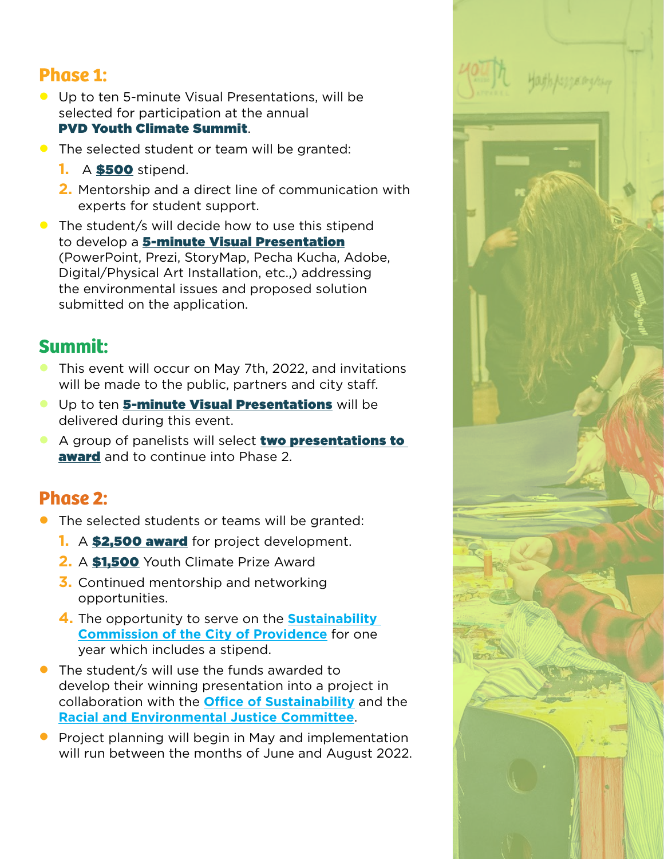#### **Phase 1:**

- Up to ten 5-minute Visual Presentations, will be selected for participation at the annual PVD Youth Climate Summit.
- The selected student or team will be granted:
	- **1.** A \$500 stipend.
	- **2.** Mentorship and a direct line of communication with experts for student support.
- The student/s will decide how to use this stipend to develop a 5-minute Visual Presentation (PowerPoint, Prezi, StoryMap, Pecha Kucha, Adobe, Digital/Physical Art Installation, etc.,) addressing the environmental issues and proposed solution submitted on the application.

### **Summit:**

- This event will occur on May 7th, 2022, and invitations will be made to the public, partners and city staff.
- **Up to ten 5-minute Visual Presentations** will be delivered during this event.
- A group of panelists will select two presentations to **award** and to continue into Phase 2.

#### **Phase 2:**

- The selected students or teams will be granted:
	- **1.** A **\$2,500 award** for project development.
	- **2.** A \$1,500 Youth Climate Prize Award
	- **3.** Continued mentorship and networking opportunities.
	- **4.** The opportunity to serve on the **[Sustainability](https://www.providenceri.gov/sustainability/environmental-sustainability-task-force/)  [Commission of the City of Providence](https://www.providenceri.gov/sustainability/environmental-sustainability-task-force/)** for one year which includes a stipend.
- The student/s will use the funds awarded to develop their winning presentation into a project in collaboration with the **[Office of Sustainability](https://www.providenceri.gov/sustainability/)** and the **[Racial and Environmental Justice Committee](https://www.rejc401.com/rhythm)**.
- Project planning will begin in May and implementation will run between the months of June and August 2022.

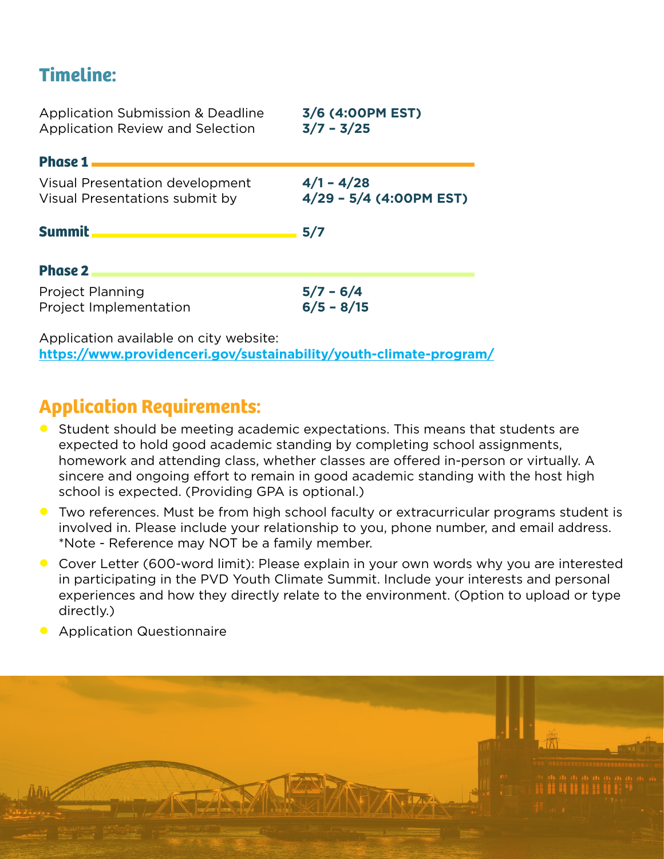### **Timeline:**

| <b>Application Submission &amp; Deadline</b><br><b>Application Review and Selection</b> | 3/6 (4:00PM EST)<br>$3/7 - 3/25$        |
|-----------------------------------------------------------------------------------------|-----------------------------------------|
| Phase $1$ $\qquad$                                                                      |                                         |
| Visual Presentation development<br>Visual Presentations submit by                       | $4/1 - 4/28$<br>4/29 - 5/4 (4:00PM EST) |
| Summit <u>__________________________</u>                                                | 5/7                                     |
| <b>Phase 2</b>                                                                          |                                         |
| <b>Project Planning</b><br>Project Implementation                                       | $5/7 - 6/4$<br>$6/5 - 8/15$             |
| Application available on city website:                                                  |                                         |

**<https://www.providenceri.gov/sustainability/youth-climate-program/>**

### **Application Requirements:**

- Student should be meeting academic expectations. This means that students are expected to hold good academic standing by completing school assignments, homework and attending class, whether classes are offered in-person or virtually. A sincere and ongoing effort to remain in good academic standing with the host high school is expected. (Providing GPA is optional.)
- Two references. Must be from high school faculty or extracurricular programs student is involved in. Please include your relationship to you, phone number, and email address. \*Note - Reference may NOT be a family member.
- Cover Letter (600-word limit): Please explain in your own words why you are interested in participating in the PVD Youth Climate Summit. Include your interests and personal experiences and how they directly relate to the environment. (Option to upload or type directly.)
- Application Questionnaire